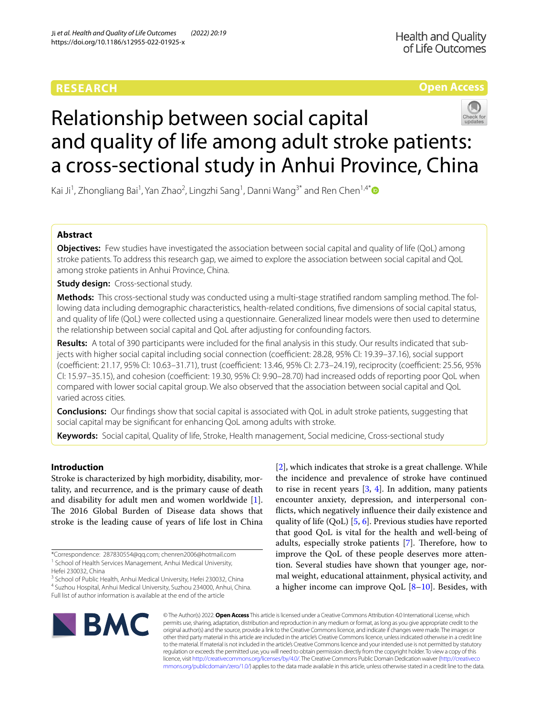# **RESEARCH**

# **Open Access**



# Relationship between social capital and quality of life among adult stroke patients: a cross-sectional study in Anhui Province, China

Kai Ji<sup>1</sup>, Zhongliang Bai<sup>1</sup>, Yan Zhao<sup>2</sup>, Lingzhi Sang<sup>1</sup>, Danni Wang<sup>3[\\*](http://orcid.org/0000-0003-3626-9450)</sup> and Ren Chen<sup>1,4\*</sup>

# **Abstract**

**Objectives:** Few studies have investigated the association between social capital and quality of life (OoL) among stroke patients. To address this research gap, we aimed to explore the association between social capital and QoL among stroke patients in Anhui Province, China.

**Study design:** Cross-sectional study.

**Methods:** This cross-sectional study was conducted using a multi-stage stratifed random sampling method. The following data including demographic characteristics, health-related conditions, fve dimensions of social capital status, and quality of life (QoL) were collected using a questionnaire. Generalized linear models were then used to determine the relationship between social capital and QoL after adjusting for confounding factors.

**Results:** A total of 390 participants were included for the fnal analysis in this study. Our results indicated that subjects with higher social capital including social connection (coefficient: 28.28, 95% CI: 19.39-37.16), social support (coefficient: 21.17, 95% CI: 10.63-31.71), trust (coefficient: 13.46, 95% CI: 2.73-24.19), reciprocity (coefficient: 25.56, 95% CI: 15.97–35.15), and cohesion (coefficient: 19.30, 95% CI: 9.90–28.70) had increased odds of reporting poor QoL when compared with lower social capital group. We also observed that the association between social capital and QoL varied across cities.

**Conclusions:** Our fndings show that social capital is associated with QoL in adult stroke patients, suggesting that social capital may be signifcant for enhancing QoL among adults with stroke.

**Keywords:** Social capital, Quality of life, Stroke, Health management, Social medicine, Cross-sectional study

# **Introduction**

Stroke is characterized by high morbidity, disability, mortality, and recurrence, and is the primary cause of death and disability for adult men and women worldwide [\[1](#page-8-0)]. The 2016 Global Burden of Disease data shows that stroke is the leading cause of years of life lost in China

<sup>3</sup> School of Public Health, Anhui Medical University, Hefei 230032, China 4 Suzhou Hospital, Anhui Medical University, Suzhou 234000, Anhui, China.

Full list of author information is available at the end of the article

[[2\]](#page-8-1), which indicates that stroke is a great challenge. While the incidence and prevalence of stroke have continued to rise in recent years  $[3, 4]$  $[3, 4]$  $[3, 4]$ . In addition, many patients encounter anxiety, depression, and interpersonal conficts, which negatively infuence their daily existence and quality of life  $(QoL)$  [[5,](#page-8-4) [6](#page-8-5)]. Previous studies have reported that good QoL is vital for the health and well-being of adults, especially stroke patients  $[7]$  $[7]$ . Therefore, how to improve the QoL of these people deserves more attention. Several studies have shown that younger age, normal weight, educational attainment, physical activity, and a higher income can improve QoL  $[8-10]$  $[8-10]$  $[8-10]$ . Besides, with



© The Author(s) 2022. **Open Access** This article is licensed under a Creative Commons Attribution 4.0 International License, which permits use, sharing, adaptation, distribution and reproduction in any medium or format, as long as you give appropriate credit to the original author(s) and the source, provide a link to the Creative Commons licence, and indicate if changes were made. The images or other third party material in this article are included in the article's Creative Commons licence, unless indicated otherwise in a credit line to the material. If material is not included in the article's Creative Commons licence and your intended use is not permitted by statutory regulation or exceeds the permitted use, you will need to obtain permission directly from the copyright holder. To view a copy of this licence, visit [http://creativecommons.org/licenses/by/4.0/.](http://creativecommons.org/licenses/by/4.0/) The Creative Commons Public Domain Dedication waiver ([http://creativeco](http://creativecommons.org/publicdomain/zero/1.0/) [mmons.org/publicdomain/zero/1.0/](http://creativecommons.org/publicdomain/zero/1.0/)) applies to the data made available in this article, unless otherwise stated in a credit line to the data.

<sup>\*</sup>Correspondence: 287830554@qq.com; chenren2006@hotmail.com <sup>1</sup> School of Health Services Management, Anhui Medical University,

Hefei 230032, China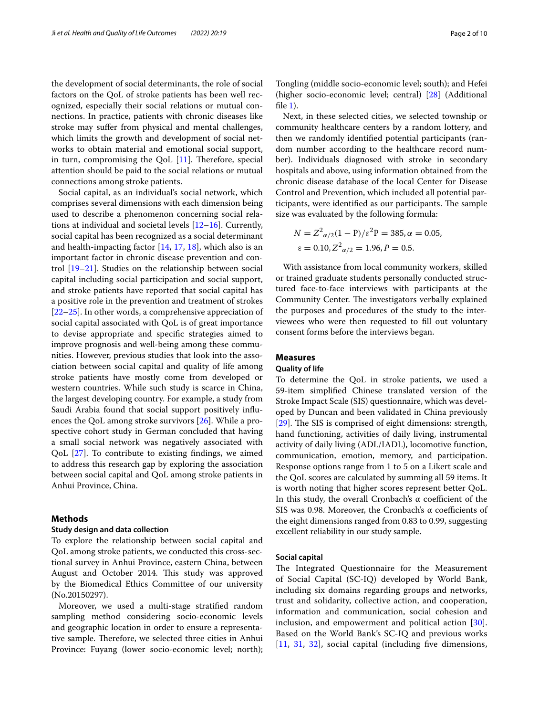the development of social determinants, the role of social factors on the QoL of stroke patients has been well recognized, especially their social relations or mutual connections. In practice, patients with chronic diseases like stroke may sufer from physical and mental challenges, which limits the growth and development of social networks to obtain material and emotional social support, in turn, compromising the QoL  $[11]$  $[11]$ . Therefore, special attention should be paid to the social relations or mutual connections among stroke patients.

Social capital, as an individual's social network, which comprises several dimensions with each dimension being used to describe a phenomenon concerning social relations at individual and societal levels [\[12](#page-8-10)[–16\]](#page-8-11). Currently, social capital has been recognized as a social determinant and health-impacting factor [[14](#page-8-12), [17](#page-8-13), [18](#page-8-14)], which also is an important factor in chronic disease prevention and control [\[19–](#page-8-15)[21\]](#page-8-16). Studies on the relationship between social capital including social participation and social support, and stroke patients have reported that social capital has a positive role in the prevention and treatment of strokes [[22–](#page-8-17)[25](#page-8-18)]. In other words, a comprehensive appreciation of social capital associated with QoL is of great importance to devise appropriate and specifc strategies aimed to improve prognosis and well-being among these communities. However, previous studies that look into the association between social capital and quality of life among stroke patients have mostly come from developed or western countries. While such study is scarce in China, the largest developing country. For example, a study from Saudi Arabia found that social support positively infuences the QoL among stroke survivors [\[26](#page-9-0)]. While a prospective cohort study in German concluded that having a small social network was negatively associated with QoL [\[27](#page-9-1)]. To contribute to existing fndings, we aimed to address this research gap by exploring the association between social capital and QoL among stroke patients in Anhui Province, China.

## **Methods**

## **Study design and data collection**

To explore the relationship between social capital and QoL among stroke patients, we conducted this cross-sectional survey in Anhui Province, eastern China, between August and October 2014. This study was approved by the Biomedical Ethics Committee of our university (No.20150297).

Moreover, we used a multi-stage stratifed random sampling method considering socio-economic levels and geographic location in order to ensure a representative sample. Therefore, we selected three cities in Anhui Province: Fuyang (lower socio-economic level; north);

Tongling (middle socio-economic level; south); and Hefei (higher socio-economic level; central) [[28\]](#page-9-2) (Additional file  $1$ ).

Next, in these selected cities, we selected township or community healthcare centers by a random lottery, and then we randomly identifed potential participants (random number according to the healthcare record number). Individuals diagnosed with stroke in secondary hospitals and above, using information obtained from the chronic disease database of the local Center for Disease Control and Prevention, which included all potential participants, were identified as our participants. The sample size was evaluated by the following formula:

$$
N = Z^{2}{}_{\alpha/2}(1 - P)/\varepsilon^{2}P = 385, \alpha = 0.05,
$$
  
\n
$$
\varepsilon = 0.10, Z^{2}{}_{\alpha/2} = 1.96, P = 0.5.
$$

With assistance from local community workers, skilled or trained graduate students personally conducted structured face-to-face interviews with participants at the Community Center. The investigators verbally explained the purposes and procedures of the study to the interviewees who were then requested to fll out voluntary consent forms before the interviews began.

# **Measures**

## **Quality of life**

To determine the QoL in stroke patients, we used a 59-item simplifed Chinese translated version of the Stroke Impact Scale (SIS) questionnaire, which was developed by Duncan and been validated in China previously [[29\]](#page-9-3). The SIS is comprised of eight dimensions: strength, hand functioning, activities of daily living, instrumental activity of daily living (ADL/IADL), locomotive function, communication, emotion, memory, and participation. Response options range from 1 to 5 on a Likert scale and the QoL scores are calculated by summing all 59 items. It is worth noting that higher scores represent better QoL. In this study, the overall Cronbach's  $\alpha$  coefficient of the SIS was 0.98. Moreover, the Cronbach's  $\alpha$  coefficients of the eight dimensions ranged from 0.83 to 0.99, suggesting excellent reliability in our study sample.

## **Social capital**

The Integrated Questionnaire for the Measurement of Social Capital (SC-IQ) developed by World Bank, including six domains regarding groups and networks, trust and solidarity, collective action, and cooperation, information and communication, social cohesion and inclusion, and empowerment and political action [[30](#page-9-4)]. Based on the World Bank's SC-IQ and previous works [[11](#page-8-9), [31,](#page-9-5) [32\]](#page-9-6), social capital (including five dimensions,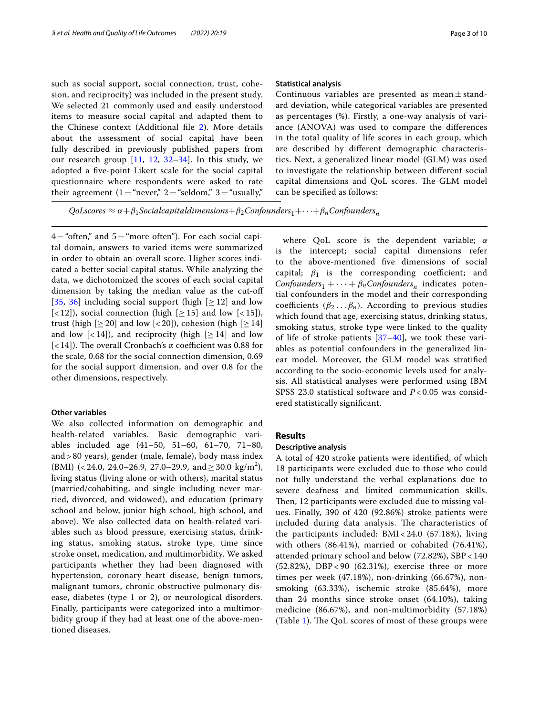such as social support, social connection, trust, cohesion, and reciprocity) was included in the present study. We selected 21 commonly used and easily understood items to measure social capital and adapted them to the Chinese context (Additional fle [2](#page-8-20)). More details about the assessment of social capital have been fully described in previously published papers from our research group [[11,](#page-8-9) [12](#page-8-10), [32](#page-9-6)[–34](#page-9-7)]. In this study, we adopted a fve-point Likert scale for the social capital questionnaire where respondents were asked to rate their agreement  $(1 = "never," 2 = "seldom," 3 = "usually,"$ 

 $4$ ="often," and  $5$ ="more often"). For each social capital domain, answers to varied items were summarized in order to obtain an overall score. Higher scores indicated a better social capital status. While analyzing the data, we dichotomized the scores of each social capital dimension by taking the median value as the cut-of [[35](#page-9-8), [36](#page-9-9)] including social support (high  $[\geq 12]$  and low  $\lceil$  < 12]), social connection (high  $\lceil$   $\geq$  15] and low  $\lceil$  < 15]), trust (high  $[≥20]$  and low  $[≤20]$ ), cohesion (high  $[≥14]$ and low  $\lfloor$ <14]), and reciprocity (high  $\lfloor$   $\geq$  14] and low [ $<$ 14]). The overall Cronbach's  $\alpha$  coefficient was 0.88 for the scale, 0.68 for the social connection dimension, 0.69 for the social support dimension, and over 0.8 for the other dimensions, respectively.

## **Other variables**

We also collected information on demographic and health-related variables. Basic demographic variables included age (41–50, 51–60, 61–70, 71–80, and > 80 years), gender (male, female), body mass index (BMI) (< 24.0, 24.0–26.9, 27.0–29.9, and  $\geq 30.0 \text{ kg/m}^2$ ), living status (living alone or with others), marital status (married/cohabiting, and single including never married, divorced, and widowed), and education (primary school and below, junior high school, high school, and above). We also collected data on health-related variables such as blood pressure, exercising status, drinking status, smoking status, stroke type, time since stroke onset, medication, and multimorbidity. We asked participants whether they had been diagnosed with hypertension, coronary heart disease, benign tumors, malignant tumors, chronic obstructive pulmonary disease, diabetes (type 1 or 2), or neurological disorders. Finally, participants were categorized into a multimorbidity group if they had at least one of the above-mentioned diseases.

## **Statistical analysis**

Continuous variables are presented as mean $\pm$ standard deviation, while categorical variables are presented as percentages (%). Firstly, a one-way analysis of variance (ANOVA) was used to compare the diferences in the total quality of life scores in each group, which are described by diferent demographic characteristics. Next, a generalized linear model (GLM) was used to investigate the relationship between diferent social capital dimensions and QoL scores. The GLM model can be specifed as follows:

QoLscores  $\approx \alpha + \beta_1$ Socialcapitaldimensions +  $\beta_2$ Confounders<sub>1</sub> + · · · +  $\beta_n$ Confounders<sub>n</sub>

where QoL score is the dependent variable;  $\alpha$ is the intercept; social capital dimensions refer to the above-mentioned fve dimensions of social capital;  $\beta_1$  is the corresponding coefficient; and Confounders<sub>1</sub> +  $\cdots$  +  $\beta_n$ Confounders<sub>n</sub> indicates potential confounders in the model and their corresponding coefficients ( $\beta_2 \ldots \beta_n$ ). According to previous studies which found that age, exercising status, drinking status, smoking status, stroke type were linked to the quality of life of stroke patients  $[37-40]$  $[37-40]$  $[37-40]$ , we took these variables as potential confounders in the generalized linear model. Moreover, the GLM model was stratifed according to the socio-economic levels used for analysis. All statistical analyses were performed using IBM SPSS 23.0 statistical software and *P* < 0.05 was considered statistically signifcant.

## **Results**

## **Descriptive analysis**

A total of 420 stroke patients were identifed, of which 18 participants were excluded due to those who could not fully understand the verbal explanations due to severe deafness and limited communication skills. Then, 12 participants were excluded due to missing values. Finally, 390 of 420 (92.86%) stroke patients were included during data analysis. The characteristics of the participants included: BMI < 24.0 (57.18%), living with others (86.41%), married or cohabited (76.41%), attended primary school and below (72.82%), SBP < 140 (52.82%), DBP < 90 (62.31%), exercise three or more times per week (47.18%), non-drinking (66.67%), nonsmoking (63.33%), ischemic stroke (85.64%), more than 24 months since stroke onset (64.10%), taking medicine (86.67%), and non-multimorbidity (57.18%) (Table [1\)](#page-3-0). The QoL scores of most of these groups were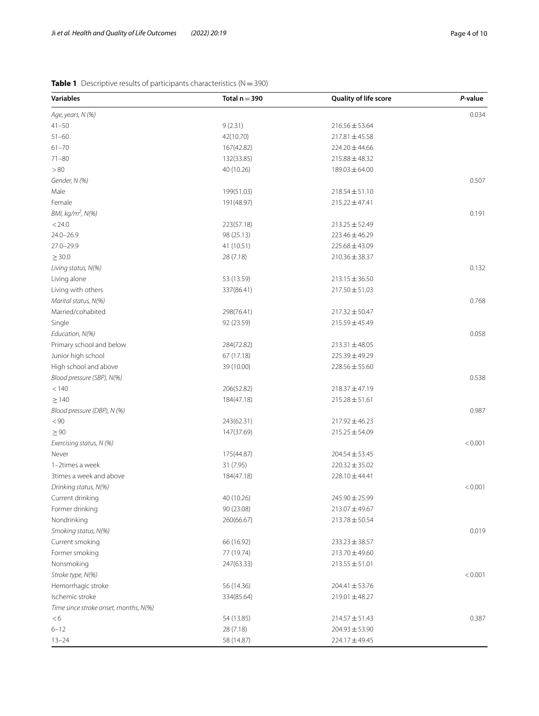# <span id="page-3-0"></span>**Table 1** Descriptive results of participants characteristics (N=390)

| <b>Variables</b>                                                         | Total $n = 390$                                                   | Quality of life score                                                                                  | P-value |
|--------------------------------------------------------------------------|-------------------------------------------------------------------|--------------------------------------------------------------------------------------------------------|---------|
| Age, years, N (%)                                                        |                                                                   |                                                                                                        | 0.034   |
| $41 - 50$                                                                | 9(2.31)                                                           | $216.56 \pm 53.64$                                                                                     |         |
| $51 - 60$                                                                | 42(10.70)                                                         | $217.81 \pm 45.58$                                                                                     |         |
| $61 - 70$                                                                | 167(42.82)                                                        | $224.20 \pm 44.66$                                                                                     |         |
| $71 - 80$                                                                | 132(33.85)                                                        | $215.88 \pm 48.32$                                                                                     |         |
| > 80                                                                     | 40 (10.26)                                                        | $189.03 \pm 64.00$                                                                                     |         |
| Gender, N (%)                                                            |                                                                   |                                                                                                        | 0.507   |
| Male                                                                     | 199(51.03)                                                        | $218.54 \pm 51.10$                                                                                     |         |
| Female                                                                   | 191(48.97)                                                        | $215.22 \pm 47.41$                                                                                     |         |
| BMI, kg/m <sup>2</sup> , N(%)                                            |                                                                   |                                                                                                        | 0.191   |
| < 24.0                                                                   | 223(57.18)                                                        | $213.25 \pm 52.49$                                                                                     |         |
| $24.0 - 26.9$                                                            | 98 (25.13)                                                        | $223.46 \pm 46.29$                                                                                     |         |
| $27.0 - 29.9$                                                            | 41 (10.51)                                                        | $225.68 \pm 43.09$                                                                                     |         |
| $\geq$ 30.0                                                              | 28 (7.18)                                                         | $210.36 \pm 38.37$                                                                                     |         |
| Living status, N(%)                                                      |                                                                   |                                                                                                        | 0.132   |
| Living alone                                                             | 53 (13.59)                                                        | $213.15 \pm 36.50$                                                                                     |         |
| Living with others                                                       | 337(86.41)                                                        | $217.50 \pm 51.03$                                                                                     |         |
| Marital status, N(%)                                                     |                                                                   |                                                                                                        | 0.768   |
| Married/cohabited                                                        | 298(76.41)                                                        | $217.32 \pm 50.47$                                                                                     |         |
| Single                                                                   | 92 (23.59)                                                        | $215.59 \pm 45.49$                                                                                     |         |
| Education, N(%)                                                          |                                                                   |                                                                                                        | 0.058   |
| Primary school and below                                                 | 284(72.82)                                                        | $213.31 \pm 48.05$                                                                                     |         |
| Junior high school                                                       | 67 (17.18)                                                        | 225.39±49.29                                                                                           |         |
| High school and above                                                    | 39 (10.00)                                                        | $228.56 \pm 55.60$                                                                                     |         |
| Blood pressure (SBP), N(%)                                               |                                                                   |                                                                                                        | 0.538   |
| < 140                                                                    | 206(52.82)                                                        | $218.37 \pm 47.19$                                                                                     |         |
| $\geq$ 140                                                               | 184(47.18)                                                        | $215.28 \pm 51.61$                                                                                     |         |
| Blood pressure (DBP), N (%)                                              |                                                                   |                                                                                                        | 0.987   |
| < 90                                                                     | 243(62.31)                                                        | $217.92 \pm 46.23$                                                                                     |         |
| $\geq 90$                                                                | 147(37.69)                                                        | $215.25 \pm 54.09$                                                                                     |         |
| Exercising status, N (%)                                                 |                                                                   |                                                                                                        | < 0.001 |
| Never                                                                    | 175(44.87)                                                        | $204.54 \pm 53.45$                                                                                     |         |
| 1-2times a week                                                          | 31 (7.95)                                                         | $220.32 \pm 35.02$                                                                                     |         |
| 3times a week and above                                                  | 184(47.18)                                                        | 228.10±44.41                                                                                           |         |
| Drinking status, N(%)                                                    |                                                                   |                                                                                                        | < 0.001 |
| Current drinking                                                         | 40 (10.26)                                                        | 245.90 ± 25.99                                                                                         |         |
| Former drinking                                                          | 90 (23.08)                                                        | $213.07 \pm 49.67$                                                                                     |         |
| Nondrinking                                                              | 260(66.67)                                                        | $213.78 \pm 50.54$                                                                                     |         |
| Smoking status, N(%)                                                     |                                                                   |                                                                                                        | 0.019   |
| Current smoking                                                          | 66 (16.92)                                                        | $233.23 \pm 38.57$                                                                                     |         |
| Former smoking                                                           | 77 (19.74)                                                        | $213.70 \pm 49.60$                                                                                     |         |
| Nonsmoking                                                               | 247(63.33)                                                        | $213.55 \pm 51.01$                                                                                     |         |
| Stroke type, N(%)                                                        |                                                                   |                                                                                                        | < 0.001 |
|                                                                          |                                                                   |                                                                                                        |         |
| Ischemic stroke                                                          |                                                                   |                                                                                                        |         |
|                                                                          |                                                                   |                                                                                                        |         |
| <6                                                                       |                                                                   |                                                                                                        | 0.387   |
| $6 - 12$                                                                 |                                                                   |                                                                                                        |         |
|                                                                          |                                                                   |                                                                                                        |         |
| Hemorrhagic stroke<br>Time since stroke onset, months, N(%)<br>$13 - 24$ | 56 (14.36)<br>334(85.64)<br>54 (13.85)<br>28 (7.18)<br>58 (14.87) | $204.41 \pm 53.76$<br>$219.01 \pm 48.27$<br>$214.57 \pm 51.43$<br>$204.93 \pm 53.90$<br>224.17 ± 49.45 |         |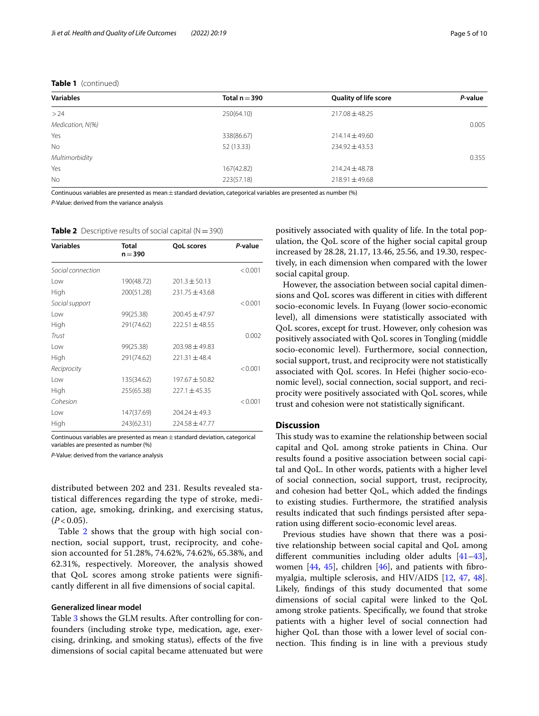## **Table 1** (continued)

| <b>Quality of life score</b> | P-value |
|------------------------------|---------|
| $217.08 \pm 48.25$           |         |
|                              | 0.005   |
| $214.14 \pm 49.60$           |         |
| $234.92 \pm 43.53$           |         |
|                              | 0.355   |
| $214.24 \pm 48.78$           |         |
| $218.91 \pm 49.68$           |         |
|                              |         |

Continuous variables are presented as mean  $\pm$  standard deviation, categorical variables are presented as number (%)

*P-*Value: derived from the variance analysis

<span id="page-4-0"></span>**Table 2** Descriptive results of social capital ( $N = 390$ )

| <b>Variables</b>  | <b>Total</b><br>$n = 390$ | <b>QoL</b> scores  | P-value |
|-------------------|---------------------------|--------------------|---------|
| Social connection |                           |                    | < 0.001 |
| Low               | 190(48.72)                | $201.3 \pm 50.13$  |         |
| High              | 200(51.28)                | $231.75 \pm 43.68$ |         |
| Social support    |                           |                    | < 0.001 |
| Low               | 99(25.38)                 | $200.45 \pm 47.97$ |         |
| High              | 291(74.62)                | $222.51 \pm 48.55$ |         |
| Trust             |                           |                    | 0.002   |
| Low               | 99(25.38)                 | $203.98 + 49.83$   |         |
| High              | 291(74.62)                | $221.31 \pm 48.4$  |         |
| Reciprocity       |                           |                    | < 0.001 |
| Low               | 135(34.62)                | $197.67 \pm 50.82$ |         |
| High              | 255(65.38)                | $227.1 \pm 45.35$  |         |
| Cohesion          |                           |                    | < 0.001 |
| Low               | 147(37.69)                | $204.24 \pm 49.3$  |         |
| High              | 243(62.31)                | $224.58 \pm 47.77$ |         |

Continuous variables are presented as mean $\pm$ standard deviation, categorical variables are presented as number (%)

*P-*Value: derived from the variance analysis

distributed between 202 and 231. Results revealed statistical diferences regarding the type of stroke, medication, age, smoking, drinking, and exercising status,  $(P < 0.05)$ .

Table [2](#page-4-0) shows that the group with high social connection, social support, trust, reciprocity, and cohesion accounted for 51.28%, 74.62%, 74.62%, 65.38%, and 62.31%, respectively. Moreover, the analysis showed that QoL scores among stroke patients were signifcantly diferent in all fve dimensions of social capital.

## **Generalized linear model**

Table [3](#page-5-0) shows the GLM results. After controlling for confounders (including stroke type, medication, age, exercising, drinking, and smoking status), efects of the fve dimensions of social capital became attenuated but were positively associated with quality of life. In the total population, the QoL score of the higher social capital group increased by 28.28, 21.17, 13.46, 25.56, and 19.30, respectively, in each dimension when compared with the lower social capital group.

However, the association between social capital dimensions and QoL scores was diferent in cities with diferent socio-economic levels. In Fuyang (lower socio-economic level), all dimensions were statistically associated with QoL scores, except for trust. However, only cohesion was positively associated with QoL scores in Tongling (middle socio-economic level). Furthermore, social connection, social support, trust, and reciprocity were not statistically associated with QoL scores. In Hefei (higher socio-economic level), social connection, social support, and reciprocity were positively associated with QoL scores, while trust and cohesion were not statistically signifcant.

## **Discussion**

This study was to examine the relationship between social capital and QoL among stroke patients in China. Our results found a positive association between social capital and QoL. In other words, patients with a higher level of social connection, social support, trust, reciprocity, and cohesion had better QoL, which added the fndings to existing studies. Furthermore, the stratifed analysis results indicated that such fndings persisted after separation using diferent socio-economic level areas.

Previous studies have shown that there was a positive relationship between social capital and QoL among diferent communities including older adults [[41](#page-9-12)[–43](#page-9-13)], women  $[44, 45]$  $[44, 45]$  $[44, 45]$ , children  $[46]$  $[46]$ , and patients with fibromyalgia, multiple sclerosis, and HIV/AIDS [[12](#page-8-10), [47](#page-9-17), [48](#page-9-18)]. Likely, fndings of this study documented that some dimensions of social capital were linked to the QoL among stroke patients. Specifcally, we found that stroke patients with a higher level of social connection had higher QoL than those with a lower level of social connection. This finding is in line with a previous study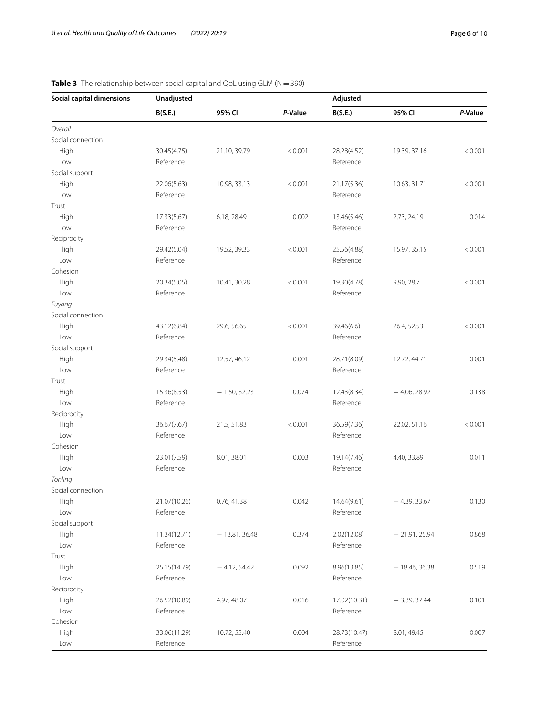| <b>Social capital dimensions</b> | Unadjusted   |                 |         | Adjusted                 |                 |         |
|----------------------------------|--------------|-----------------|---------|--------------------------|-----------------|---------|
|                                  | B(S.E.)      | 95% CI          | P-Value | B(S.E.)                  | 95% CI          | P-Value |
| Overall                          |              |                 |         |                          |                 |         |
| Social connection                |              |                 |         |                          |                 |         |
| High                             | 30.45(4.75)  | 21.10, 39.79    | < 0.001 | 28.28(4.52)              | 19.39, 37.16    | < 0.001 |
| Low                              | Reference    |                 |         | Reference                |                 |         |
| Social support                   |              |                 |         |                          |                 |         |
| High                             | 22.06(5.63)  | 10.98, 33.13    | < 0.001 | 21.17(5.36)              | 10.63, 31.71    | < 0.001 |
| Low                              | Reference    |                 |         | Reference                |                 |         |
| Trust                            |              |                 |         |                          |                 |         |
| High                             | 17.33(5.67)  | 6.18, 28.49     | 0.002   | 13.46(5.46)              | 2.73, 24.19     | 0.014   |
| Low                              | Reference    |                 |         | Reference                |                 |         |
| Reciprocity                      |              |                 |         |                          |                 |         |
| High                             | 29.42(5.04)  | 19.52, 39.33    | < 0.001 | 25.56(4.88)              | 15.97, 35.15    | < 0.001 |
| Low                              | Reference    |                 |         | Reference                |                 |         |
| Cohesion                         |              |                 |         |                          |                 |         |
| High                             | 20.34(5.05)  | 10.41, 30.28    | < 0.001 | 19.30(4.78)              | 9.90, 28.7      | < 0.001 |
| Low                              | Reference    |                 |         | Reference                |                 |         |
| Fuyang                           |              |                 |         |                          |                 |         |
| Social connection                |              |                 |         |                          |                 |         |
| High                             | 43.12(6.84)  | 29.6, 56.65     | < 0.001 | 39.46(6.6)               | 26.4, 52.53     | < 0.001 |
| Low                              | Reference    |                 |         | Reference                |                 |         |
| Social support                   |              |                 |         |                          |                 |         |
| High                             | 29.34(8.48)  | 12.57, 46.12    | 0.001   | 28.71(8.09)              | 12.72, 44.71    | 0.001   |
| Low                              | Reference    |                 |         | Reference                |                 |         |
| Trust                            |              |                 |         |                          |                 |         |
| High                             | 15.36(8.53)  | $-1.50, 32.23$  | 0.074   | 12.43(8.34)              | $-4.06, 28.92$  | 0.138   |
| Low                              | Reference    |                 |         | Reference                |                 |         |
| Reciprocity                      |              |                 |         |                          |                 |         |
| High                             | 36.67(7.67)  | 21.5, 51.83     | < 0.001 | 36.59(7.36)              | 22.02, 51.16    | < 0.001 |
| Low                              | Reference    |                 |         | Reference                |                 |         |
| Cohesion                         |              |                 |         |                          |                 |         |
| High                             | 23.01(7.59)  | 8.01, 38.01     | 0.003   | 19.14(7.46)              | 4.40, 33.89     | 0.011   |
| Low                              | Reference    |                 |         | Reference                |                 |         |
| Tonling                          |              |                 |         |                          |                 |         |
| Social connection                |              |                 |         |                          |                 |         |
| High                             | 21.07(10.26) | 0.76, 41.38     | 0.042   | 14.64(9.61)              | $-4.39, 33.67$  | 0.130   |
| Low                              | Reference    |                 |         | Reference                |                 |         |
| Social support                   |              |                 |         |                          |                 |         |
| High                             | 11.34(12.71) | $-13.81, 36.48$ | 0.374   | 2.02(12.08)              | $-21.91, 25.94$ | 0.868   |
| Low                              | Reference    |                 |         | Reference                |                 |         |
| Trust                            |              |                 |         |                          |                 |         |
|                                  |              |                 |         |                          |                 |         |
| High                             | 25.15(14.79) | $-4.12, 54.42$  | 0.092   | 8.96(13.85)<br>Reference | $-18.46, 36.38$ | 0.519   |
| Low                              | Reference    |                 |         |                          |                 |         |
| Reciprocity                      |              |                 |         |                          |                 |         |
| High                             | 26.52(10.89) | 4.97, 48.07     | 0.016   | 17.02(10.31)             | $-3.39, 37.44$  | 0.101   |
| Low                              | Reference    |                 |         | Reference                |                 |         |
| Cohesion                         |              |                 |         |                          |                 |         |
| High                             | 33.06(11.29) | 10.72, 55.40    | 0.004   | 28.73(10.47)             | 8.01, 49.45     | 0.007   |
| Low                              | Reference    |                 |         | Reference                |                 |         |

# <span id="page-5-0"></span>**Table 3** The relationship between social capital and QoL using GLM (N = 390)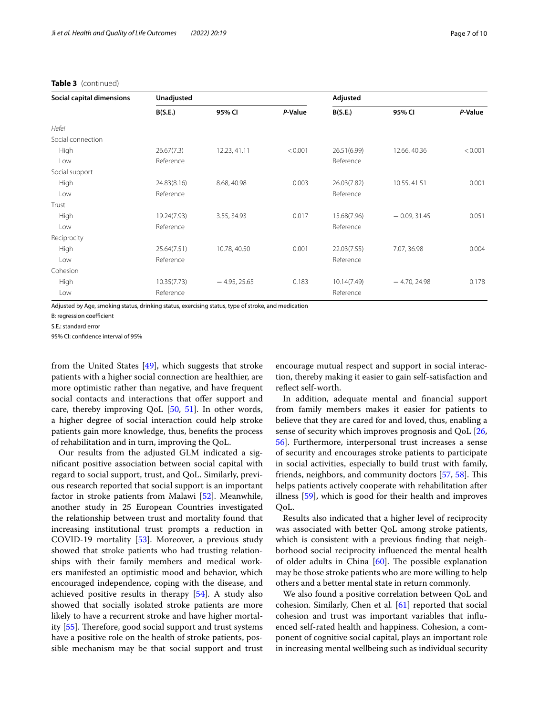# **Table 3** (continued)

| <b>Social capital dimensions</b> | Unadjusted  |                |         | Adjusted    |                |         |
|----------------------------------|-------------|----------------|---------|-------------|----------------|---------|
|                                  | B(S.E.)     | 95% CI         | P-Value | B(S.E.)     | 95% CI         | P-Value |
| Hefei                            |             |                |         |             |                |         |
| Social connection                |             |                |         |             |                |         |
| High                             | 26.67(7.3)  | 12.23, 41.11   | < 0.001 | 26.51(6.99) | 12.66, 40.36   | < 0.001 |
| Low                              | Reference   |                |         | Reference   |                |         |
| Social support                   |             |                |         |             |                |         |
| High                             | 24.83(8.16) | 8.68, 40.98    | 0.003   | 26.03(7.82) | 10.55, 41.51   | 0.001   |
| Low                              | Reference   |                |         | Reference   |                |         |
| Trust                            |             |                |         |             |                |         |
| High                             | 19.24(7.93) | 3.55, 34.93    | 0.017   | 15.68(7.96) | $-0.09, 31.45$ | 0.051   |
| Low                              | Reference   |                |         | Reference   |                |         |
| Reciprocity                      |             |                |         |             |                |         |
| High                             | 25.64(7.51) | 10.78, 40.50   | 0.001   | 22.03(7.55) | 7.07, 36.98    | 0.004   |
| Low                              | Reference   |                |         | Reference   |                |         |
| Cohesion                         |             |                |         |             |                |         |
| High                             | 10.35(7.73) | $-4.95, 25.65$ | 0.183   | 10.14(7.49) | $-4.70, 24.98$ | 0.178   |
| Low                              | Reference   |                |         | Reference   |                |         |

Adjusted by Age, smoking status, drinking status, exercising status, type of stroke, and medication

B: regression coefficient

S.E.: standard error

95% CI: confdence interval of 95%

from the United States [\[49](#page-9-19)], which suggests that stroke patients with a higher social connection are healthier, are more optimistic rather than negative, and have frequent social contacts and interactions that offer support and care, thereby improving QoL [[50,](#page-9-20) [51](#page-9-21)]. In other words, a higher degree of social interaction could help stroke patients gain more knowledge, thus, benefts the process of rehabilitation and in turn, improving the QoL.

Our results from the adjusted GLM indicated a signifcant positive association between social capital with regard to social support, trust, and QoL. Similarly, previous research reported that social support is an important factor in stroke patients from Malawi [[52\]](#page-9-22). Meanwhile, another study in 25 European Countries investigated the relationship between trust and mortality found that increasing institutional trust prompts a reduction in COVID-19 mortality [[53\]](#page-9-23). Moreover, a previous study showed that stroke patients who had trusting relationships with their family members and medical workers manifested an optimistic mood and behavior, which encouraged independence, coping with the disease, and achieved positive results in therapy [[54](#page-9-24)]. A study also showed that socially isolated stroke patients are more likely to have a recurrent stroke and have higher mortality  $[55]$  $[55]$ . Therefore, good social support and trust systems have a positive role on the health of stroke patients, possible mechanism may be that social support and trust

encourage mutual respect and support in social interaction, thereby making it easier to gain self-satisfaction and refect self-worth.

In addition, adequate mental and fnancial support from family members makes it easier for patients to believe that they are cared for and loved, thus, enabling a sense of security which improves prognosis and QoL [[26](#page-9-0), [56\]](#page-9-26). Furthermore, interpersonal trust increases a sense of security and encourages stroke patients to participate in social activities, especially to build trust with family, friends, neighbors, and community doctors [[57](#page-9-27), [58](#page-9-28)]. This helps patients actively cooperate with rehabilitation after illness [\[59](#page-9-29)], which is good for their health and improves QoL.

Results also indicated that a higher level of reciprocity was associated with better QoL among stroke patients, which is consistent with a previous fnding that neighborhood social reciprocity infuenced the mental health of older adults in China  $[60]$ . The possible explanation may be those stroke patients who are more willing to help others and a better mental state in return commonly.

We also found a positive correlation between QoL and cohesion. Similarly, Chen et al*.* [\[61](#page-9-31)] reported that social cohesion and trust was important variables that infuenced self-rated health and happiness. Cohesion, a component of cognitive social capital, plays an important role in increasing mental wellbeing such as individual security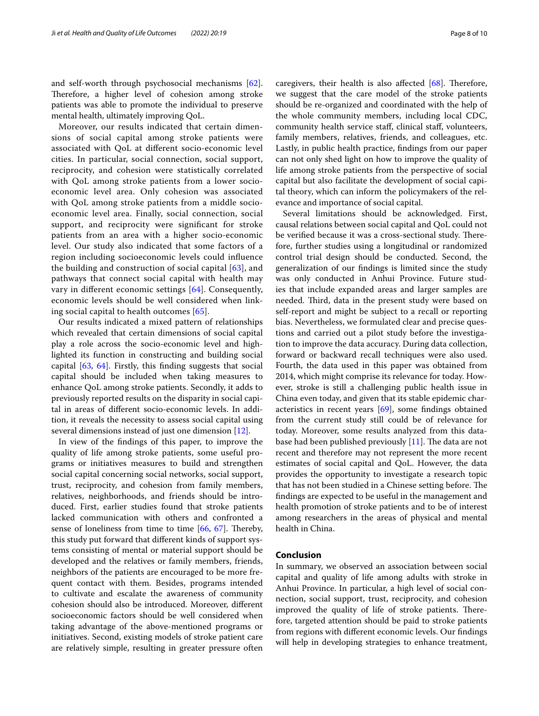and self-worth through psychosocial mechanisms [\[62](#page-9-32)]. Therefore, a higher level of cohesion among stroke patients was able to promote the individual to preserve mental health, ultimately improving QoL.

Moreover, our results indicated that certain dimensions of social capital among stroke patients were associated with QoL at diferent socio-economic level cities. In particular, social connection, social support, reciprocity, and cohesion were statistically correlated with QoL among stroke patients from a lower socioeconomic level area. Only cohesion was associated with QoL among stroke patients from a middle socioeconomic level area. Finally, social connection, social support, and reciprocity were signifcant for stroke patients from an area with a higher socio-economic level. Our study also indicated that some factors of a region including socioeconomic levels could infuence the building and construction of social capital [[63\]](#page-9-33), and pathways that connect social capital with health may vary in diferent economic settings [[64\]](#page-9-34). Consequently, economic levels should be well considered when linking social capital to health outcomes [[65\]](#page-9-35).

Our results indicated a mixed pattern of relationships which revealed that certain dimensions of social capital play a role across the socio-economic level and highlighted its function in constructing and building social capital [[63,](#page-9-33) [64\]](#page-9-34). Firstly, this fnding suggests that social capital should be included when taking measures to enhance QoL among stroke patients. Secondly, it adds to previously reported results on the disparity in social capital in areas of diferent socio-economic levels. In addition, it reveals the necessity to assess social capital using several dimensions instead of just one dimension [[12](#page-8-10)].

In view of the fndings of this paper, to improve the quality of life among stroke patients, some useful programs or initiatives measures to build and strengthen social capital concerning social networks, social support, trust, reciprocity, and cohesion from family members, relatives, neighborhoods, and friends should be introduced. First, earlier studies found that stroke patients lacked communication with others and confronted a sense of loneliness from time to time  $[66, 67]$  $[66, 67]$  $[66, 67]$ . Thereby, this study put forward that diferent kinds of support systems consisting of mental or material support should be developed and the relatives or family members, friends, neighbors of the patients are encouraged to be more frequent contact with them. Besides, programs intended to cultivate and escalate the awareness of community cohesion should also be introduced. Moreover, diferent socioeconomic factors should be well considered when taking advantage of the above-mentioned programs or initiatives. Second, existing models of stroke patient care are relatively simple, resulting in greater pressure often caregivers, their health is also affected  $[68]$ . Therefore, we suggest that the care model of the stroke patients should be re-organized and coordinated with the help of the whole community members, including local CDC, community health service staf, clinical staf, volunteers, family members, relatives, friends, and colleagues, etc. Lastly, in public health practice, fndings from our paper can not only shed light on how to improve the quality of life among stroke patients from the perspective of social capital but also facilitate the development of social capital theory, which can inform the policymakers of the relevance and importance of social capital.

Several limitations should be acknowledged. First, causal relations between social capital and QoL could not be verified because it was a cross-sectional study. Therefore, further studies using a longitudinal or randomized control trial design should be conducted. Second, the generalization of our fndings is limited since the study was only conducted in Anhui Province. Future studies that include expanded areas and larger samples are needed. Third, data in the present study were based on self-report and might be subject to a recall or reporting bias. Nevertheless, we formulated clear and precise questions and carried out a pilot study before the investigation to improve the data accuracy. During data collection, forward or backward recall techniques were also used. Fourth, the data used in this paper was obtained from 2014, which might comprise its relevance for today. However, stroke is still a challenging public health issue in China even today, and given that its stable epidemic characteristics in recent years [\[69](#page-9-39)], some fndings obtained from the current study still could be of relevance for today. Moreover, some results analyzed from this database had been published previously  $[11]$  $[11]$ . The data are not recent and therefore may not represent the more recent estimates of social capital and QoL. However, the data provides the opportunity to investigate a research topic that has not been studied in a Chinese setting before. The fndings are expected to be useful in the management and health promotion of stroke patients and to be of interest among researchers in the areas of physical and mental health in China.

## **Conclusion**

In summary, we observed an association between social capital and quality of life among adults with stroke in Anhui Province. In particular, a high level of social connection, social support, trust, reciprocity, and cohesion improved the quality of life of stroke patients. Therefore, targeted attention should be paid to stroke patients from regions with diferent economic levels. Our fndings will help in developing strategies to enhance treatment,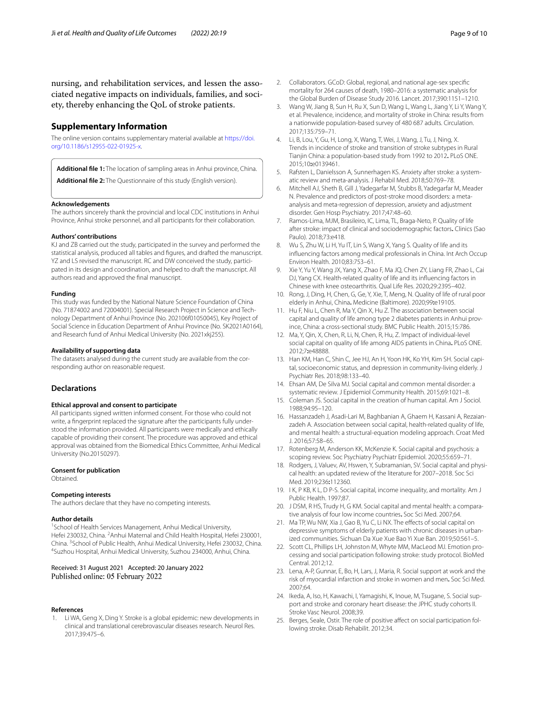nursing, and rehabilitation services, and lessen the associated negative impacts on individuals, families, and society, thereby enhancing the QoL of stroke patients.

# **Supplementary Information**

The online version contains supplementary material available at [https://doi.](https://doi.org/10.1186/s12955-022-01925-x) [org/10.1186/s12955-022-01925-x.](https://doi.org/10.1186/s12955-022-01925-x)

<span id="page-8-20"></span><span id="page-8-19"></span>**Additional fle 1:** The location of sampling areas in Anhui province, China.

**Additional fle 2:** The Questionnaire of this study (English version).

#### **Acknowledgements**

The authors sincerely thank the provincial and local CDC institutions in Anhui Province, Anhui stroke personnel, and all participants for their collaboration.

## **Authors' contributions**

KJ and ZB carried out the study, participated in the survey and performed the statistical analysis, produced all tables and fgures, and drafted the manuscript. YZ and LS revised the manuscript. RC and DW conceived the study, participated in its design and coordination, and helped to draft the manuscript. All authors read and approved the fnal manuscript.

#### **Funding**

This study was funded by the National Nature Science Foundation of China (No. 71874002 and 72004001). Special Research Project in Science and Technology Department of Anhui Province (No. 202106f01050045), Key Project of Social Science in Education Department of Anhui Province (No. SK2021A0164), and Research fund of Anhui Medical University (No. 2021xkj255).

#### **Availability of supporting data**

The datasets analysed during the current study are available from the corresponding author on reasonable request.

## **Declarations**

#### **Ethical approval and consent to participate**

All participants signed written informed consent. For those who could not write, a fngerprint replaced the signature after the participants fully understood the information provided. All participants were medically and ethically capable of providing their consent. The procedure was approved and ethical approval was obtained from the Biomedical Ethics Committee, Anhui Medical University (No.20150297).

## **Consent for publication**

**Obtained** 

#### **Competing interests**

The authors declare that they have no competing interests.

#### **Author details**

<sup>1</sup> School of Health Services Management, Anhui Medical University, Hefei 230032, China. <sup>2</sup> Anhui Maternal and Child Health Hospital, Hefei 230001, China. <sup>3</sup>School of Public Health, Anhui Medical University, Hefei 230032, China.<br><sup>4</sup>Suzbou Hospital, Anhui Medical University, Suzbou 234000, Anhui *C*hina. Suzhou Hospital, Anhui Medical University, Suzhou 234000, Anhui, China.

## Received: 31 August 2021 Accepted: 20 January 2022 Published online: 05 February 2022

#### **References**

<span id="page-8-0"></span>Li WA, Geng X, Ding Y. Stroke is a global epidemic: new developments in clinical and translational cerebrovascular diseases research. Neurol Res. 2017;39:475–6.

- <span id="page-8-1"></span>2. Collaborators. GCoD: Global, regional, and national age-sex specifc mortality for 264 causes of death, 1980–2016: a systematic analysis for the Global Burden of Disease Study 2016. Lancet. 2017;390:1151–1210.
- <span id="page-8-2"></span>3. Wang W, Jiang B, Sun H, Ru X, Sun D, Wang L, Wang L, Jiang Y, Li Y, Wang Y, et al. Prevalence, incidence, and mortality of stroke in China: results from a nationwide population-based survey of 480 687 adults. Circulation. 2017;135:759–71.
- <span id="page-8-3"></span>4. Li, B, Lou, Y, Gu, H, Long, X, Wang, T, Wei, J, Wang, J, Tu, J, Ning, X. Trends in incidence of stroke and transition of stroke subtypes in Rural Tianjin China: a population-based study from 1992 to 2012**.** PLoS ONE. 2015;10**:**e0139461.
- <span id="page-8-4"></span>5. Rafsten L, Danielsson A, Sunnerhagen KS. Anxiety after stroke: a systematic review and meta-analysis. J Rehabil Med. 2018;50:769–78.
- <span id="page-8-5"></span>6. Mitchell AJ, Sheth B, Gill J, Yadegarfar M, Stubbs B, Yadegarfar M, Meader N. Prevalence and predictors of post-stroke mood disorders: a metaanalysis and meta-regression of depression, anxiety and adjustment disorder. Gen Hosp Psychiatry. 2017;47:48–60.
- <span id="page-8-6"></span>7. Ramos-Lima, MJM, Brasileiro, IC, Lima, TL, Braga-Neto, P. Quality of life after stroke: impact of clinical and sociodemographic factors**.** Clinics (Sao Paulo). 2018;73:e418.
- <span id="page-8-7"></span>8. Wu S, Zhu W, Li H, Yu IT, Lin S, Wang X, Yang S. Quality of life and its infuencing factors among medical professionals in China. Int Arch Occup Environ Health. 2010;83:753–61.
- 9. Xie Y, Yu Y, Wang JX, Yang X, Zhao F, Ma JQ, Chen ZY, Liang FR, Zhao L, Cai DJ, Yang CX. Health-related quality of life and its infuencing factors in Chinese with knee osteoarthritis. Qual Life Res. 2020;29:2395–402.
- <span id="page-8-8"></span>10. Rong, J, Ding, H, Chen, G, Ge, Y, Xie, T, Meng, N. Quality of life of rural poor elderly in Anhui, China**.** Medicine (Baltimore). 2020;99**:**e19105.
- <span id="page-8-9"></span>11. Hu F, Niu L, Chen R, Ma Y, Qin X, Hu Z. The association between social capital and quality of life among type 2 diabetes patients in Anhui province, China: a cross-sectional study. BMC Public Health. 2015;15:786.
- <span id="page-8-10"></span>12. Ma, Y, Qin, X, Chen, R, Li, N, Chen, R, Hu, Z. Impact of individual-level social capital on quality of life among AIDS patients in China**.** PLoS ONE. 2012;7**:**e48888.
- 13. Han KM, Han C, Shin C, Jee HJ, An H, Yoon HK, Ko YH, Kim SH. Social capital, socioeconomic status, and depression in community-living elderly. J Psychiatr Res. 2018;98:133–40.
- <span id="page-8-12"></span>14. Ehsan AM, De Silva MJ. Social capital and common mental disorder: a systematic review. J Epidemiol Community Health. 2015;69:1021–8.
- 15. Coleman JS. Social capital in the creation of human capital. Am J Sociol. 1988;94:95–120.
- <span id="page-8-11"></span>16. Hassanzadeh J, Asadi-Lari M, Baghbanian A, Ghaem H, Kassani A, Rezaianzadeh A. Association between social capital, health-related quality of life, and mental health: a structural-equation modeling approach. Croat Med J. 2016;57:58–65.
- <span id="page-8-13"></span>17. Rotenberg M, Anderson KK, McKenzie K. Social capital and psychosis: a scoping review. Soc Psychiatry Psychiatr Epidemiol. 2020;55:659–71.
- <span id="page-8-14"></span>18. Rodgers, J, Valuev, AV, Hswen, Y, Subramanian, SV. Social capital and physical health: an updated review of the literature for 2007–2018. Soc Sci Med. 2019;236**:**112360.
- <span id="page-8-15"></span>19. I K, P KB, K L, D P-S. Social capital, income inequality, and mortality. Am J Public Health. 1997;87.
- 20. J DSM, R HS, Trudy H, G KM. Social capital and mental health: a comparative analysis of four low income countries**.** Soc Sci Med. 2007;64.
- <span id="page-8-16"></span>21. Ma TP, Wu NW, Xia J, Gao B, Yu C, Li NX. The effects of social capital on depressive symptoms of elderly patients with chronic diseases in urbanized communities. Sichuan Da Xue Xue Bao Yi Xue Ban. 2019;50:561–5.
- <span id="page-8-17"></span>22. Scott CL, Phillips LH, Johnston M, Whyte MM, MacLeod MJ. Emotion processing and social participation following stroke: study protocol. BioMed Central. 2012;12.
- 23. Lena, A-P, Gunnar, E, Bo, H, Lars, J, Maria, R. Social support at work and the risk of myocardial infarction and stroke in women and men**.** Soc Sci Med. 2007;64.
- 24. Ikeda, A, Iso, H, Kawachi, I, Yamagishi, K, Inoue, M, Tsugane, S. Social support and stroke and coronary heart disease: the JPHC study cohorts II. Stroke Vasc Neurol. 2008;39.
- <span id="page-8-18"></span>25. Berges, Seale, Ostir. The role of positive affect on social participation following stroke. Disab Rehabilit. 2012;34.